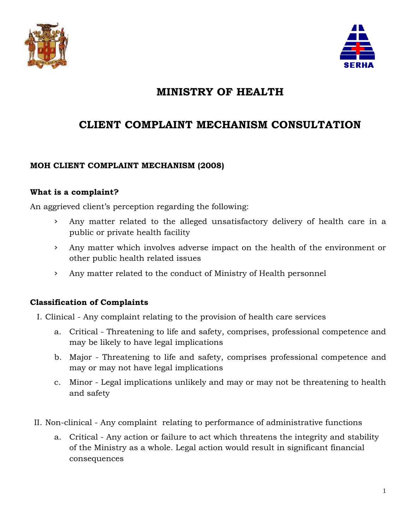



# **MINISTRY OF HEALTH**

# **CLIENT COMPLAINT MECHANISM CONSULTATION**

## **MOH CLIENT COMPLAINT MECHANISM (2008)**

#### **What is a complaint?**

An aggrieved client's perception regarding the following:

- › Any matter related to the alleged unsatisfactory delivery of health care in a public or private health facility
- › Any matter which involves adverse impact on the health of the environment or other public health related issues
- › Any matter related to the conduct of Ministry of Health personnel

## **Classification of Complaints**

I. Clinical - Any complaint relating to the provision of health care services

- a. Critical Threatening to life and safety, comprises, professional competence and may be likely to have legal implications
- b. Major Threatening to life and safety, comprises professional competence and may or may not have legal implications
- c. Minor Legal implications unlikely and may or may not be threatening to health and safety
- II. Non-clinical Any complaint relating to performance of administrative functions
	- a. Critical Any action or failure to act which threatens the integrity and stability of the Ministry as a whole. Legal action would result in significant financial consequences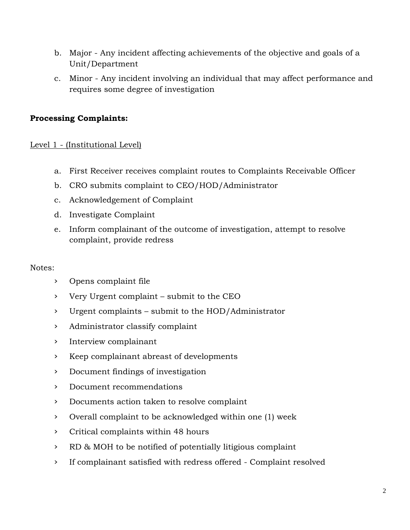- b. Major Any incident affecting achievements of the objective and goals of a Unit/Department
- c. Minor Any incident involving an individual that may affect performance and requires some degree of investigation

# **Processing Complaints:**

## Level 1 - (Institutional Level)

- a. First Receiver receives complaint routes to Complaints Receivable Officer
- b. CRO submits complaint to CEO/HOD/Administrator
- c. Acknowledgement of Complaint
- d. Investigate Complaint
- e. Inform complainant of the outcome of investigation, attempt to resolve complaint, provide redress

#### Notes:

- › Opens complaint file
- › Very Urgent complaint submit to the CEO
- › Urgent complaints submit to the HOD/Administrator
- › Administrator classify complaint
- › Interview complainant
- › Keep complainant abreast of developments
- › Document findings of investigation
- › Document recommendations
- › Documents action taken to resolve complaint
- › Overall complaint to be acknowledged within one (1) week
- › Critical complaints within 48 hours
- › RD & MOH to be notified of potentially litigious complaint
- › If complainant satisfied with redress offered Complaint resolved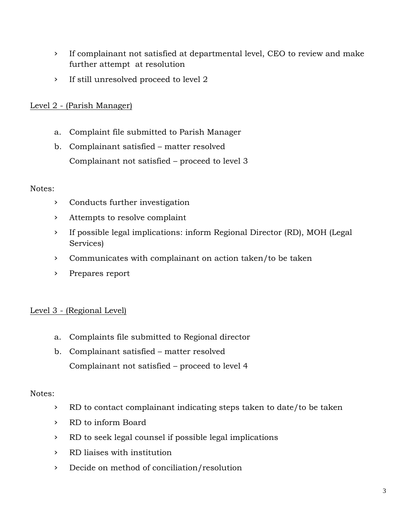- › If complainant not satisfied at departmental level, CEO to review and make further attempt at resolution
- › If still unresolved proceed to level 2

## Level 2 - (Parish Manager)

- a. Complaint file submitted to Parish Manager
- b. Complainant satisfied matter resolved Complainant not satisfied – proceed to level 3

#### Notes:

- › Conducts further investigation
- › Attempts to resolve complaint
- › If possible legal implications: inform Regional Director (RD), MOH (Legal Services)
- › Communicates with complainant on action taken/to be taken
- › Prepares report

# Level 3 - (Regional Level)

- a. Complaints file submitted to Regional director
- b. Complainant satisfied matter resolved Complainant not satisfied – proceed to level 4

## Notes:

- › RD to contact complainant indicating steps taken to date/to be taken
- › RD to inform Board
- › RD to seek legal counsel if possible legal implications
- › RD liaises with institution
- › Decide on method of conciliation/resolution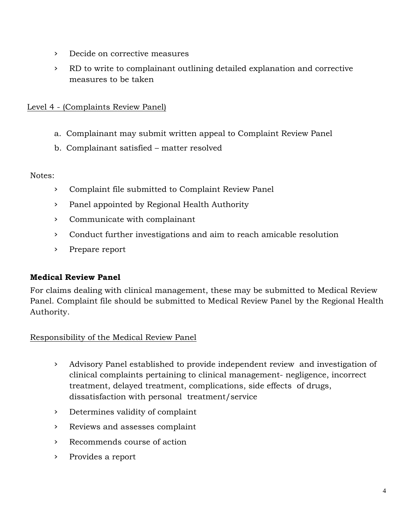- › Decide on corrective measures
- › RD to write to complainant outlining detailed explanation and corrective measures to be taken

## Level 4 - (Complaints Review Panel)

- a. Complainant may submit written appeal to Complaint Review Panel
- b. Complainant satisfied matter resolved

Notes:

- › Complaint file submitted to Complaint Review Panel
- › Panel appointed by Regional Health Authority
- › Communicate with complainant
- › Conduct further investigations and aim to reach amicable resolution
- › Prepare report

## **Medical Review Panel**

For claims dealing with clinical management, these may be submitted to Medical Review Panel. Complaint file should be submitted to Medical Review Panel by the Regional Health Authority.

## Responsibility of the Medical Review Panel

- › Advisory Panel established to provide independent review and investigation of clinical complaints pertaining to clinical management- negligence, incorrect treatment, delayed treatment, complications, side effects of drugs, dissatisfaction with personal treatment/service
- › Determines validity of complaint
- › Reviews and assesses complaint
- › Recommends course of action
- › Provides a report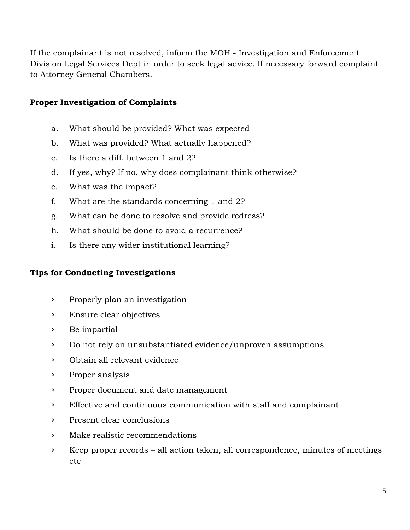If the complainant is not resolved, inform the MOH - Investigation and Enforcement Division Legal Services Dept in order to seek legal advice. If necessary forward complaint to Attorney General Chambers.

## **Proper Investigation of Complaints**

- a. What should be provided? What was expected
- b. What was provided? What actually happened?
- c. Is there a diff. between 1 and 2?
- d. If yes, why? If no, why does complainant think otherwise?
- e. What was the impact?
- f. What are the standards concerning 1 and 2?
- g. What can be done to resolve and provide redress?
- h. What should be done to avoid a recurrence?
- i. Is there any wider institutional learning?

# **Tips for Conducting Investigations**

- › Properly plan an investigation
- › Ensure clear objectives
- › Be impartial
- › Do not rely on unsubstantiated evidence/unproven assumptions
- › Obtain all relevant evidence
- › Proper analysis
- › Proper document and date management
- › Effective and continuous communication with staff and complainant
- › Present clear conclusions
- › Make realistic recommendations
- › Keep proper records all action taken, all correspondence, minutes of meetings etc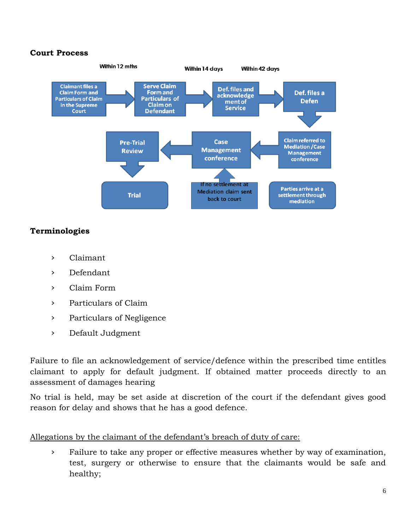#### **Court Process**



## **Terminologies**

- › Claimant
- › Defendant
- › Claim Form
- › Particulars of Claim
- › Particulars of Negligence
- › Default Judgment

Failure to file an acknowledgement of service/defence within the prescribed time entitles claimant to apply for default judgment. If obtained matter proceeds directly to an assessment of damages hearing

No trial is held, may be set aside at discretion of the court if the defendant gives good reason for delay and shows that he has a good defence.

#### Allegations by the claimant of the defendant's breach of duty of care:

› Failure to take any proper or effective measures whether by way of examination, test, surgery or otherwise to ensure that the claimants would be safe and healthy;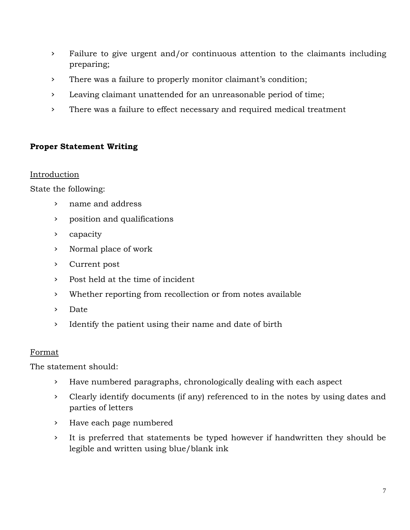- › Failure to give urgent and/or continuous attention to the claimants including preparing;
- › There was a failure to properly monitor claimant's condition;
- › Leaving claimant unattended for an unreasonable period of time;
- › There was a failure to effect necessary and required medical treatment

## **Proper Statement Writing**

#### Introduction

State the following:

- › name and address
- › position and qualifications
- › capacity
- › Normal place of work
- › Current post
- › Post held at the time of incident
- › Whether reporting from recollection or from notes available
- › Date
- › Identify the patient using their name and date of birth

#### Format

The statement should:

- › Have numbered paragraphs, chronologically dealing with each aspect
- › Clearly identify documents (if any) referenced to in the notes by using dates and parties of letters
- › Have each page numbered
- › It is preferred that statements be typed however if handwritten they should be legible and written using blue/blank ink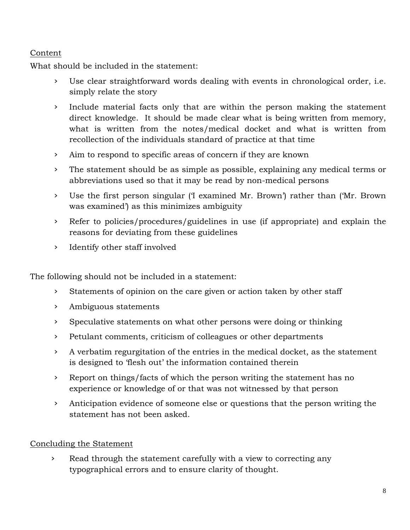# Content

What should be included in the statement:

- Use clear straightforward words dealing with events in chronological order, i.e. simply relate the story
- › Include material facts only that are within the person making the statement direct knowledge. It should be made clear what is being written from memory, what is written from the notes/medical docket and what is written from recollection of the individuals standard of practice at that time
- › Aim to respond to specific areas of concern if they are known
- › The statement should be as simple as possible, explaining any medical terms or abbreviations used so that it may be read by non-medical persons
- › Use the first person singular ('I examined Mr. Brown') rather than ('Mr. Brown was examined') as this minimizes ambiguity
- › Refer to policies/procedures/guidelines in use (if appropriate) and explain the reasons for deviating from these guidelines
- › Identify other staff involved

The following should not be included in a statement:

- › Statements of opinion on the care given or action taken by other staff
- › Ambiguous statements
- › Speculative statements on what other persons were doing or thinking
- › Petulant comments, criticism of colleagues or other departments
- › A verbatim regurgitation of the entries in the medical docket, as the statement is designed to 'flesh out' the information contained therein
- › Report on things/facts of which the person writing the statement has no experience or knowledge of or that was not witnessed by that person
- › Anticipation evidence of someone else or questions that the person writing the statement has not been asked.

# Concluding the Statement

› Read through the statement carefully with a view to correcting any typographical errors and to ensure clarity of thought.